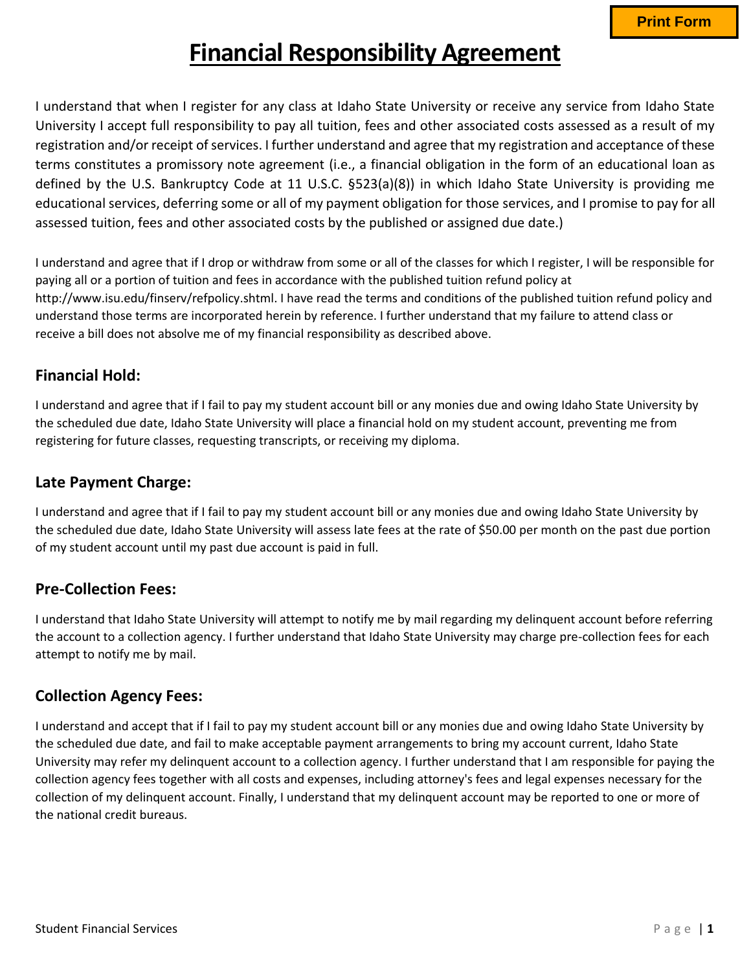# **Financial Responsibility Agreement**

I understand that when I register for any class at Idaho State University or receive any service from Idaho State University I accept full responsibility to pay all tuition, fees and other associated costs assessed as a result of my registration and/or receipt of services. I further understand and agree that my registration and acceptance of these terms constitutes a promissory note agreement (i.e., a financial obligation in the form of an educational loan as defined by the U.S. Bankruptcy Code at 11 U.S.C. §523(a)(8)) in which Idaho State University is providing me educational services, deferring some or all of my payment obligation for those services, and I promise to pay for all assessed tuition, fees and other associated costs by the published or assigned due date.)

I understand and agree that if I drop or withdraw from some or all of the classes for which I register, I will be responsible for paying all or a portion of tuition and fees in accordance with the published tuition refund policy at http://www.isu.edu/finserv/refpolicy.shtml. I have read the terms and conditions of the published tuition refund policy and understand those terms are incorporated herein by reference. I further understand that my failure to attend class or receive a bill does not absolve me of my financial responsibility as described above.

#### **Financial Hold:**

I understand and agree that if I fail to pay my student account bill or any monies due and owing Idaho State University by the scheduled due date, Idaho State University will place a financial hold on my student account, preventing me from registering for future classes, requesting transcripts, or receiving my diploma.

#### **Late Payment Charge:**

I understand and agree that if I fail to pay my student account bill or any monies due and owing Idaho State University by the scheduled due date, Idaho State University will assess late fees at the rate of \$50.00 per month on the past due portion of my student account until my past due account is paid in full.

## **Pre-Collection Fees:**

I understand that Idaho State University will attempt to notify me by mail regarding my delinquent account before referring the account to a collection agency. I further understand that Idaho State University may charge pre-collection fees for each attempt to notify me by mail.

## **Collection Agency Fees:**

I understand and accept that if I fail to pay my student account bill or any monies due and owing Idaho State University by the scheduled due date, and fail to make acceptable payment arrangements to bring my account current, Idaho State University may refer my delinquent account to a collection agency. I further understand that I am responsible for paying the collection agency fees together with all costs and expenses, including attorney's fees and legal expenses necessary for the collection of my delinquent account. Finally, I understand that my delinquent account may be reported to one or more of the national credit bureaus.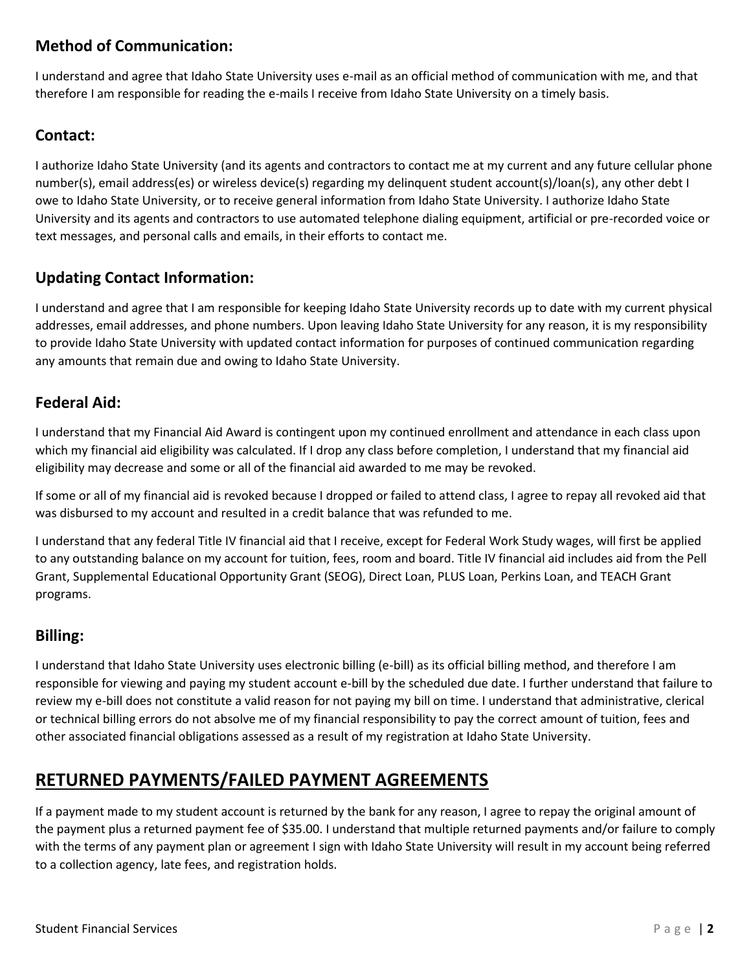## **Method of Communication:**

I understand and agree that Idaho State University uses e-mail as an official method of communication with me, and that therefore I am responsible for reading the e-mails I receive from Idaho State University on a timely basis.

#### **Contact:**

I authorize Idaho State University (and its agents and contractors to contact me at my current and any future cellular phone number(s), email address(es) or wireless device(s) regarding my delinquent student account(s)/loan(s), any other debt I owe to Idaho State University, or to receive general information from Idaho State University. I authorize Idaho State University and its agents and contractors to use automated telephone dialing equipment, artificial or pre-recorded voice or text messages, and personal calls and emails, in their efforts to contact me.

## **Updating Contact Information:**

I understand and agree that I am responsible for keeping Idaho State University records up to date with my current physical addresses, email addresses, and phone numbers. Upon leaving Idaho State University for any reason, it is my responsibility to provide Idaho State University with updated contact information for purposes of continued communication regarding any amounts that remain due and owing to Idaho State University.

#### **Federal Aid:**

I understand that my Financial Aid Award is contingent upon my continued enrollment and attendance in each class upon which my financial aid eligibility was calculated. If I drop any class before completion, I understand that my financial aid eligibility may decrease and some or all of the financial aid awarded to me may be revoked.

If some or all of my financial aid is revoked because I dropped or failed to attend class, I agree to repay all revoked aid that was disbursed to my account and resulted in a credit balance that was refunded to me.

I understand that any federal Title IV financial aid that I receive, except for Federal Work Study wages, will first be applied to any outstanding balance on my account for tuition, fees, room and board. Title IV financial aid includes aid from the Pell Grant, Supplemental Educational Opportunity Grant (SEOG), Direct Loan, PLUS Loan, Perkins Loan, and TEACH Grant programs.

#### **Billing:**

I understand that Idaho State University uses electronic billing (e-bill) as its official billing method, and therefore I am responsible for viewing and paying my student account e-bill by the scheduled due date. I further understand that failure to review my e-bill does not constitute a valid reason for not paying my bill on time. I understand that administrative, clerical or technical billing errors do not absolve me of my financial responsibility to pay the correct amount of tuition, fees and other associated financial obligations assessed as a result of my registration at Idaho State University.

## **RETURNED PAYMENTS/FAILED PAYMENT AGREEMENTS**

If a payment made to my student account is returned by the bank for any reason, I agree to repay the original amount of the payment plus a returned payment fee of \$35.00. I understand that multiple returned payments and/or failure to comply with the terms of any payment plan or agreement I sign with Idaho State University will result in my account being referred to a collection agency, late fees, and registration holds.